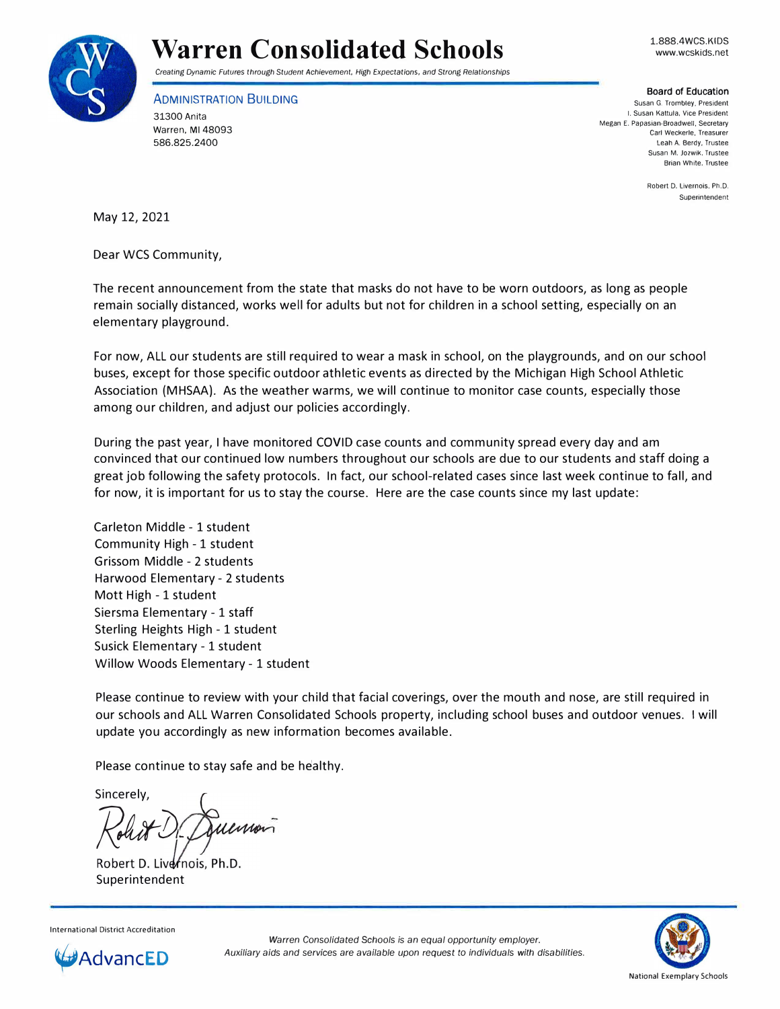

## **Warren Consolidated Schools**

1.888.4WCS.KIDS www.wcskids.net

*Creating Dynamic Futures through* Student *Achievement, High* Expectations, *and* Strong *Relationships* 

ADMINISTRATION BUILDING 31300 Anita Warren, Ml 48093 586.825.2400

Board of Education

**Susan G. Trombley, President I. Susan Kattula. Vice President Megan E. Papasian-Broadwell, Secretary Carl Weckerle, Treasurer**  Leah A. Berdy. Trustee **Susan M. Jozwik. Trustee Brian White. Trustee** 

> Robert D. Livernois, Ph.D. **Superintendent**

May 12, 2021

Dear WCS Community,

The recent announcement from the state that masks do not have to be worn outdoors, as long as people remain socially distanced, works well for adults but not for children in a school setting, especially on an elementary playground.

For now, ALL our students are still required to wear a mask in school, on the playgrounds, and on our school buses, except for those specific outdoor athletic events as directed by the Michigan High School Athletic Association (MHSAA). As the weather warms, we will continue to monitor case counts, especially those among our children, and adjust our policies accordingly.

During the past year, I have monitored COVID case counts and community spread every day and am convinced that our continued low numbers throughout our schools are due to our students and staff doing a great job following the safety protocols. In fact, our school-related cases since last week continue to fall, and for now, it is important for us to stay the course. Here are the case counts since my last update:

Carleton Middle - 1 student Community High - 1 student Grissom Middle - 2 students Harwood Elementary - 2 students Mott High - 1 student Siersma Elementary - 1 staff Sterling Heights High - 1 student Susick Elementary - 1 student Willow Woods Elementary - 1 student

Please continue to review with your child that facial coverings, over the mouth and nose, are still required in our schools and ALL Warren Consolidated Schools property, including school buses and outdoor venues. I will update you accordingly as new information becomes available.

Please continue to stay safe and be healthy.

Sincerely, *R\_uh.* 

Robert D. Livernois, Ph.D. Superintendent

International District Accreditation



*Warren Consolidated Schools* is *an equal opportunity employer. Auxiliary aids and services are available upon* request to *individuals with disabilities.*